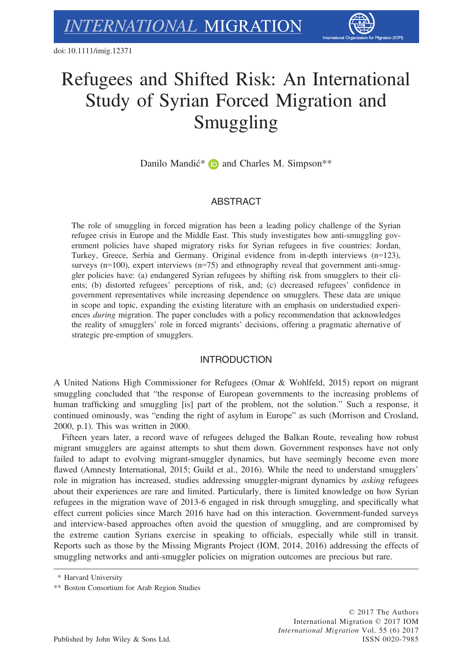

# Refugees and Shifted Risk: An International Study of Syrian Forced Migration and Smuggling

Danilo Mandić<sup>\*</sup> **D** and Charles M. Simpson<sup>\*\*</sup>

# ABSTRACT

The role of smuggling in forced migration has been a leading policy challenge of the Syrian refugee crisis in Europe and the Middle East. This study investigates how anti-smuggling government policies have shaped migratory risks for Syrian refugees in five countries: Jordan, Turkey, Greece, Serbia and Germany. Original evidence from in-depth interviews (n=123), surveys  $(n=100)$ , expert interviews  $(n=75)$  and ethnography reveal that government anti-smuggler policies have: (a) endangered Syrian refugees by shifting risk from smugglers to their clients; (b) distorted refugees' perceptions of risk, and; (c) decreased refugees' confidence in government representatives while increasing dependence on smugglers. These data are unique in scope and topic, expanding the existing literature with an emphasis on understudied experiences during migration. The paper concludes with a policy recommendation that acknowledges the reality of smugglers' role in forced migrants' decisions, offering a pragmatic alternative of strategic pre-emption of smugglers.

# INTRODUCTION

A United Nations High Commissioner for Refugees (Omar & Wohlfeld, 2015) report on migrant smuggling concluded that "the response of European governments to the increasing problems of human trafficking and smuggling [is] part of the problem, not the solution." Such a response, it continued ominously, was "ending the right of asylum in Europe" as such (Morrison and Crosland, 2000, p.1). This was written in 2000.

Fifteen years later, a record wave of refugees deluged the Balkan Route, revealing how robust migrant smugglers are against attempts to shut them down. Government responses have not only failed to adapt to evolving migrant-smuggler dynamics, but have seemingly become even more flawed (Amnesty International, 2015; Guild et al., 2016). While the need to understand smugglers' role in migration has increased, studies addressing smuggler-migrant dynamics by asking refugees about their experiences are rare and limited. Particularly, there is limited knowledge on how Syrian refugees in the migration wave of 2013-6 engaged in risk through smuggling, and specifically what effect current policies since March 2016 have had on this interaction. Government-funded surveys and interview-based approaches often avoid the question of smuggling, and are compromised by the extreme caution Syrians exercise in speaking to officials, especially while still in transit. Reports such as those by the Missing Migrants Project (IOM, 2014, 2016) addressing the effects of smuggling networks and anti-smuggler policies on migration outcomes are precious but rare.

<sup>\*</sup> Harvard University

<sup>\*\*</sup> Boston Consortium for Arab Region Studies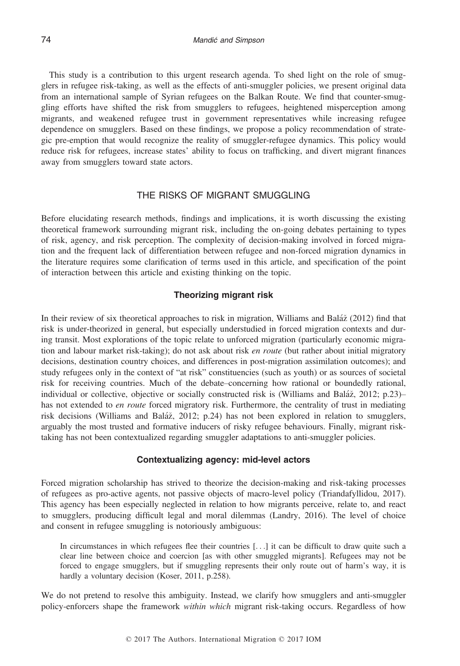This study is a contribution to this urgent research agenda. To shed light on the role of smugglers in refugee risk-taking, as well as the effects of anti-smuggler policies, we present original data from an international sample of Syrian refugees on the Balkan Route. We find that counter-smuggling efforts have shifted the risk from smugglers to refugees, heightened misperception among migrants, and weakened refugee trust in government representatives while increasing refugee dependence on smugglers. Based on these findings, we propose a policy recommendation of strategic pre-emption that would recognize the reality of smuggler-refugee dynamics. This policy would reduce risk for refugees, increase states' ability to focus on trafficking, and divert migrant finances away from smugglers toward state actors.

# THE RISKS OF MIGRANT SMUGGLING

Before elucidating research methods, findings and implications, it is worth discussing the existing theoretical framework surrounding migrant risk, including the on-going debates pertaining to types of risk, agency, and risk perception. The complexity of decision-making involved in forced migration and the frequent lack of differentiation between refugee and non-forced migration dynamics in the literature requires some clarification of terms used in this article, and specification of the point of interaction between this article and existing thinking on the topic.

## Theorizing migrant risk

In their review of six theoretical approaches to risk in migration, Williams and Baláž (2012) find that risk is under-theorized in general, but especially understudied in forced migration contexts and during transit. Most explorations of the topic relate to unforced migration (particularly economic migration and labour market risk-taking); do not ask about risk *en route* (but rather about initial migratory decisions, destination country choices, and differences in post-migration assimilation outcomes); and study refugees only in the context of "at risk" constituencies (such as youth) or as sources of societal risk for receiving countries. Much of the debate–concerning how rational or boundedly rational, individual or collective, objective or socially constructed risk is (Williams and Baláž, 2012; p.23)– has not extended to *en route* forced migratory risk. Furthermore, the centrality of trust in mediating risk decisions (Williams and Baláž, 2012; p.24) has not been explored in relation to smugglers, arguably the most trusted and formative inducers of risky refugee behaviours. Finally, migrant risktaking has not been contextualized regarding smuggler adaptations to anti-smuggler policies.

# Contextualizing agency: mid-level actors

Forced migration scholarship has strived to theorize the decision-making and risk-taking processes of refugees as pro-active agents, not passive objects of macro-level policy (Triandafyllidou, 2017). This agency has been especially neglected in relation to how migrants perceive, relate to, and react to smugglers, producing difficult legal and moral dilemmas (Landry, 2016). The level of choice and consent in refugee smuggling is notoriously ambiguous:

In circumstances in which refugees flee their countries [...] it can be difficult to draw quite such a clear line between choice and coercion [as with other smuggled migrants]. Refugees may not be forced to engage smugglers, but if smuggling represents their only route out of harm's way, it is hardly a voluntary decision (Koser, 2011, p.258).

We do not pretend to resolve this ambiguity. Instead, we clarify how smugglers and anti-smuggler policy-enforcers shape the framework within which migrant risk-taking occurs. Regardless of how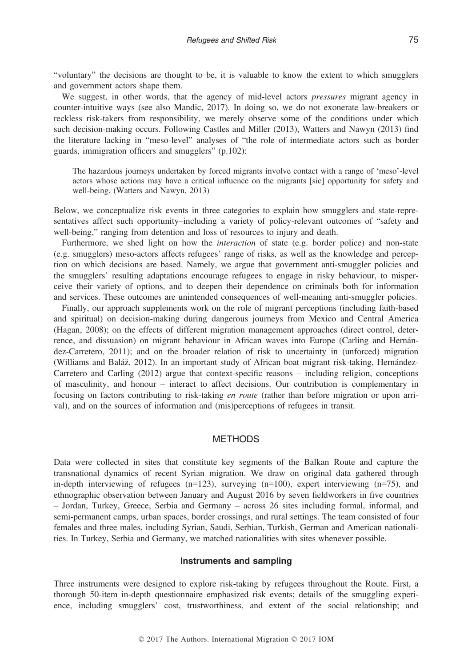"voluntary" the decisions are thought to be, it is valuable to know the extent to which smugglers and government actors shape them.

We suggest, in other words, that the agency of mid-level actors *pressures* migrant agency in counter-intuitive ways (see also Mandic, 2017). In doing so, we do not exonerate law-breakers or reckless risk-takers from responsibility, we merely observe some of the conditions under which such decision-making occurs. Following Castles and Miller (2013), Watters and Nawyn (2013) find the literature lacking in "meso-level" analyses of "the role of intermediate actors such as border guards, immigration officers and smugglers" (p.102):

The hazardous journeys undertaken by forced migrants involve contact with a range of 'meso'-level actors whose actions may have a critical influence on the migrants [sic] opportunity for safety and well-being. (Watters and Nawyn, 2013)

Below, we conceptualize risk events in three categories to explain how smugglers and state-representatives affect such opportunity–including a variety of policy-relevant outcomes of "safety and well-being," ranging from detention and loss of resources to injury and death.

Furthermore, we shed light on how the *interaction* of state (e.g. border police) and non-state (e.g. smugglers) meso-actors affects refugees' range of risks, as well as the knowledge and perception on which decisions are based. Namely, we argue that government anti-smuggler policies and the smugglers' resulting adaptations encourage refugees to engage in risky behaviour, to misperceive their variety of options, and to deepen their dependence on criminals both for information and services. These outcomes are unintended consequences of well-meaning anti-smuggler policies.

Finally, our approach supplements work on the role of migrant perceptions (including faith-based and spiritual) on decision-making during dangerous journeys from Mexico and Central America (Hagan, 2008); on the effects of different migration management approaches (direct control, deterrence, and dissuasion) on migrant behaviour in African waves into Europe (Carling and Hernandez-Carretero, 2011); and on the broader relation of risk to uncertainty in (unforced) migration (Williams and Balaz, 2012). In an important study of African boat migrant risk-taking, Hernandez-Carretero and Carling (2012) argue that context-specific reasons – including religion, conceptions of masculinity, and honour – interact to affect decisions. Our contribution is complementary in focusing on factors contributing to risk-taking en route (rather than before migration or upon arrival), and on the sources of information and (mis)perceptions of refugees in transit.

# **METHODS**

Data were collected in sites that constitute key segments of the Balkan Route and capture the transnational dynamics of recent Syrian migration. We draw on original data gathered through in-depth interviewing of refugees  $(n=123)$ , surveying  $(n=100)$ , expert interviewing  $(n=75)$ , and ethnographic observation between January and August 2016 by seven fieldworkers in five countries – Jordan, Turkey, Greece, Serbia and Germany – across 26 sites including formal, informal, and semi-permanent camps, urban spaces, border crossings, and rural settings. The team consisted of four females and three males, including Syrian, Saudi, Serbian, Turkish, German and American nationalities. In Turkey, Serbia and Germany, we matched nationalities with sites whenever possible.

#### Instruments and sampling

Three instruments were designed to explore risk-taking by refugees throughout the Route. First, a thorough 50-item in-depth questionnaire emphasized risk events; details of the smuggling experience, including smugglers' cost, trustworthiness, and extent of the social relationship; and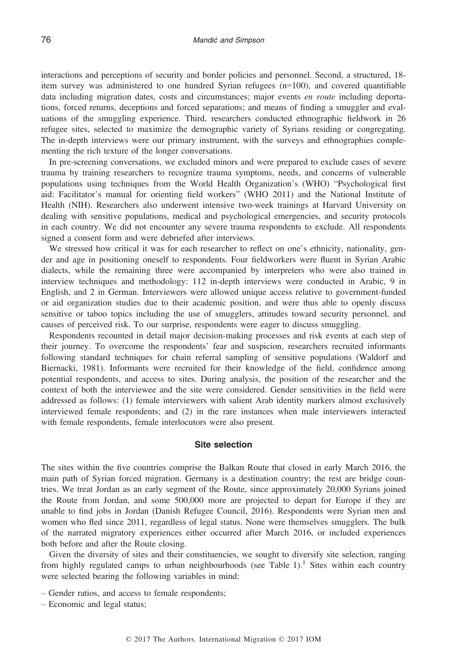interactions and perceptions of security and border policies and personnel. Second, a structured, 18 item survey was administered to one hundred Syrian refugees (n=100), and covered quantifiable data including migration dates, costs and circumstances; major events *en route* including deportations, forced returns, deceptions and forced separations; and means of finding a smuggler and evaluations of the smuggling experience. Third, researchers conducted ethnographic fieldwork in 26 refugee sites, selected to maximize the demographic variety of Syrians residing or congregating. The in-depth interviews were our primary instrument, with the surveys and ethnographies complementing the rich texture of the longer conversations.

In pre-screening conversations, we excluded minors and were prepared to exclude cases of severe trauma by training researchers to recognize trauma symptoms, needs, and concerns of vulnerable populations using techniques from the World Health Organization's (WHO) "Psychological first aid: Facilitator's manual for orienting field workers" (WHO 2011) and the National Institute of Health (NIH). Researchers also underwent intensive two-week trainings at Harvard University on dealing with sensitive populations, medical and psychological emergencies, and security protocols in each country. We did not encounter any severe trauma respondents to exclude. All respondents signed a consent form and were debriefed after interviews.

We stressed how critical it was for each researcher to reflect on one's ethnicity, nationality, gender and age in positioning oneself to respondents. Four fieldworkers were fluent in Syrian Arabic dialects, while the remaining three were accompanied by interpreters who were also trained in interview techniques and methodology: 112 in-depth interviews were conducted in Arabic, 9 in English, and 2 in German. Interviewers were allowed unique access relative to government-funded or aid organization studies due to their academic position, and were thus able to openly discuss sensitive or taboo topics including the use of smugglers, attitudes toward security personnel, and causes of perceived risk. To our surprise, respondents were eager to discuss smuggling.

Respondents recounted in detail major decision-making processes and risk events at each step of their journey. To overcome the respondents' fear and suspicion, researchers recruited informants following standard techniques for chain referral sampling of sensitive populations (Waldorf and Biernacki, 1981). Informants were recruited for their knowledge of the field, confidence among potential respondents, and access to sites. During analysis, the position of the researcher and the context of both the interviewee and the site were considered. Gender sensitivities in the field were addressed as follows: (1) female interviewers with salient Arab identity markers almost exclusively interviewed female respondents; and (2) in the rare instances when male interviewers interacted with female respondents, female interlocutors were also present.

## Site selection

The sites within the five countries comprise the Balkan Route that closed in early March 2016, the main path of Syrian forced migration. Germany is a destination country; the rest are bridge countries. We treat Jordan as an early segment of the Route, since approximately 20,000 Syrians joined the Route from Jordan, and some 500,000 more are projected to depart for Europe if they are unable to find jobs in Jordan (Danish Refugee Council, 2016). Respondents were Syrian men and women who fled since 2011, regardless of legal status. None were themselves smugglers. The bulk of the narrated migratory experiences either occurred after March 2016, or included experiences both before and after the Route closing.

Given the diversity of sites and their constituencies, we sought to diversify site selection, ranging from highly regulated camps to urban neighbourhoods (see Table 1).<sup>1</sup> Sites within each country were selected bearing the following variables in mind:

- Gender ratios, and access to female respondents;
- Economic and legal status;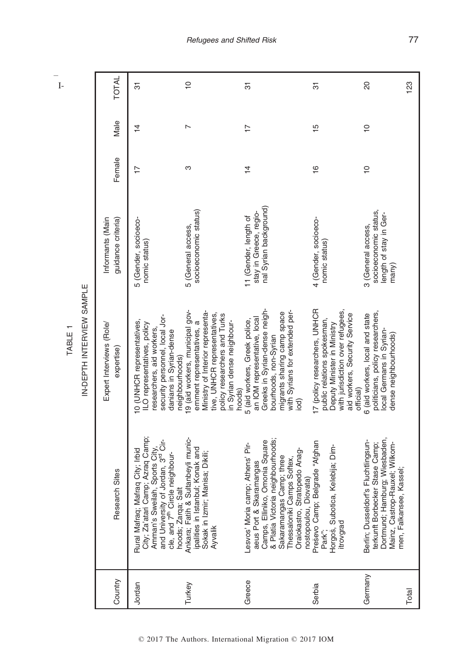– I-

| ۱ |  |
|---|--|
| í |  |

| Country | Research Sites                                                                                                                                                                                                                | Expert Interviews (Role/<br>expertise)                                                                                                                                                                   | Informants (Main<br>guidance criteria)                                         | Female         | Male           | <b>TOTAL</b>  |
|---------|-------------------------------------------------------------------------------------------------------------------------------------------------------------------------------------------------------------------------------|----------------------------------------------------------------------------------------------------------------------------------------------------------------------------------------------------------|--------------------------------------------------------------------------------|----------------|----------------|---------------|
| Jordan  | City; Za'atari Camp; Azraq Camp;<br>and University of Jordan, 3rd Cir-<br>Amman's Sweilah, Sports City,<br>Rural Mafraq; Mafraq City; Irbid<br>cle, and 7 <sup>th</sup> Circle neighbour-<br>Salt<br>hoods; Zarqa;            | security personnel, local Jor-<br>IO (UNHCR representatives,<br>LO representatives, policy<br>researchers, aid workers,<br>danians in Syrian-dense<br>neighbourhoods)                                    | 5 (Gender, socioeco-<br>nomic status)                                          | $\overline{1}$ | $\overline{4}$ | 5             |
| Turkey  | Sultanbeyli munic-<br>ipalities in Istanbul; Konak and<br>Sokak in Izmir; Manisa; Dikili;<br>Ankara; Fatih &<br>Ayvalik                                                                                                       | 9 (aid workers, municipal gov-<br>Ministry of Interior representa-<br>tive, UNHCR representatives,<br>policy researchers and Turks<br>in Syrian dense neighbour-<br>ernment representatives, a<br>hoods) | socioeconomic status)<br>5 (General access,                                    | ო              | N              | $\frac{1}{2}$ |
| Greece  | & Platia Victoria neighbourhoods;<br>Camps, Elliniko, Omonia Square<br>Lesvos' Moria camp; Athens' Pir-<br>Oraiokastro, Stratopedo Anag-<br>Sakaramangas Camp; three<br>Thessaloniki Camps Softex,<br>aeus Port & Skaramangas | Greeks in Syrian-dense neigh-<br>with Syrians for extended per-<br>migrants sharing camp space<br>an IOM representative, local<br>5 (aid workers, Greek police,<br>bourhoods, non-Syrian<br>ଟ୍ରି         | nal Syrian background)<br>stay in Greece, regio-<br>11 (Gender, length of      | $\frac{4}{4}$  | $\overline{1}$ | 5             |
| Serbia  | Belgrade "Afghan<br>Horgoš, Subotica, Kelebija; Dim-<br>nostopoulou, Diovata)<br>Preševo Camp;<br>itrovgrad<br>Park":                                                                                                         | 17 (policy researchers, UNHCR<br>with jurisdiction over refugees,<br>aid workers, Security Service<br>public relations spokesman,<br>Deputy Minister in Ministry<br>official)                            | 4 (Gender, socioeco-<br>nomic status)                                          | $\frac{6}{1}$  | 15             | 5             |
| Germany | Dortmund; Hamburg; Wiesbaden,<br>Berlin; Dusseldorf's Fluchtlingsun-<br>terkunft Borbecker Stase Camp;<br>Mainz, Castrop-Rauxel; Wilkom-                                                                                      | politicians, policy researchers,<br>6 (aid workers, local and state<br>local Germans in Syrian-<br>dense neighbourhoods)                                                                                 | socioeconomic status,<br>length of stay in Ger-<br>3 (General access,<br>many) | $\frac{1}{2}$  | $\frac{1}{2}$  | 20            |
| Total   | men, Falkansee, Kassel;                                                                                                                                                                                                       |                                                                                                                                                                                                          |                                                                                |                |                | 123           |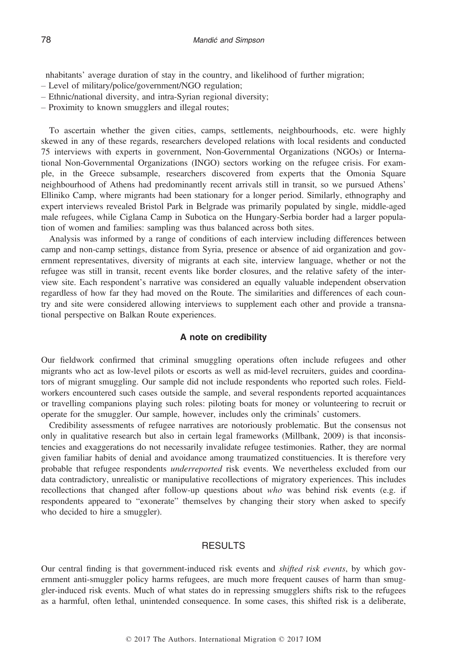nhabitants' average duration of stay in the country, and likelihood of further migration;

- Level of military/police/government/NGO regulation;
- Ethnic/national diversity, and intra-Syrian regional diversity;
- Proximity to known smugglers and illegal routes;

To ascertain whether the given cities, camps, settlements, neighbourhoods, etc. were highly skewed in any of these regards, researchers developed relations with local residents and conducted 75 interviews with experts in government, Non-Governmental Organizations (NGOs) or International Non-Governmental Organizations (INGO) sectors working on the refugee crisis. For example, in the Greece subsample, researchers discovered from experts that the Omonia Square neighbourhood of Athens had predominantly recent arrivals still in transit, so we pursued Athens' Elliniko Camp, where migrants had been stationary for a longer period. Similarly, ethnography and expert interviews revealed Bristol Park in Belgrade was primarily populated by single, middle-aged male refugees, while Ciglana Camp in Subotica on the Hungary-Serbia border had a larger population of women and families: sampling was thus balanced across both sites.

Analysis was informed by a range of conditions of each interview including differences between camp and non-camp settings, distance from Syria, presence or absence of aid organization and government representatives, diversity of migrants at each site, interview language, whether or not the refugee was still in transit, recent events like border closures, and the relative safety of the interview site. Each respondent's narrative was considered an equally valuable independent observation regardless of how far they had moved on the Route. The similarities and differences of each country and site were considered allowing interviews to supplement each other and provide a transnational perspective on Balkan Route experiences.

# A note on credibility

Our fieldwork confirmed that criminal smuggling operations often include refugees and other migrants who act as low-level pilots or escorts as well as mid-level recruiters, guides and coordinators of migrant smuggling. Our sample did not include respondents who reported such roles. Fieldworkers encountered such cases outside the sample, and several respondents reported acquaintances or travelling companions playing such roles: piloting boats for money or volunteering to recruit or operate for the smuggler. Our sample, however, includes only the criminals' customers.

Credibility assessments of refugee narratives are notoriously problematic. But the consensus not only in qualitative research but also in certain legal frameworks (Millbank, 2009) is that inconsistencies and exaggerations do not necessarily invalidate refugee testimonies. Rather, they are normal given familiar habits of denial and avoidance among traumatized constituencies. It is therefore very probable that refugee respondents underreported risk events. We nevertheless excluded from our data contradictory, unrealistic or manipulative recollections of migratory experiences. This includes recollections that changed after follow-up questions about who was behind risk events (e.g. if respondents appeared to "exonerate" themselves by changing their story when asked to specify who decided to hire a smuggler).

# **RESULTS**

Our central finding is that government-induced risk events and shifted risk events, by which government anti-smuggler policy harms refugees, are much more frequent causes of harm than smuggler-induced risk events. Much of what states do in repressing smugglers shifts risk to the refugees as a harmful, often lethal, unintended consequence. In some cases, this shifted risk is a deliberate,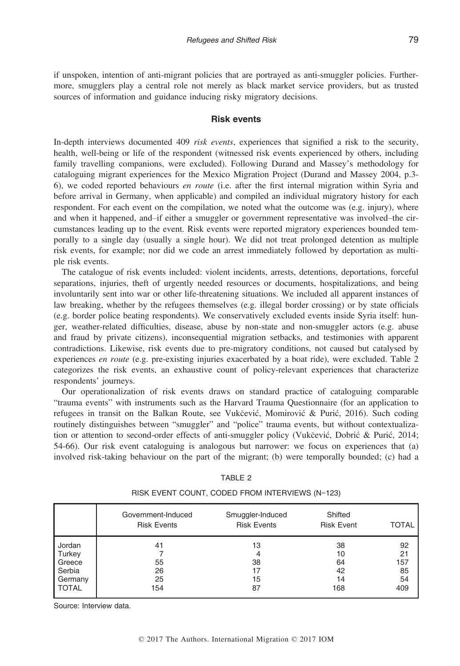if unspoken, intention of anti-migrant policies that are portrayed as anti-smuggler policies. Furthermore, smugglers play a central role not merely as black market service providers, but as trusted sources of information and guidance inducing risky migratory decisions.

## Risk events

In-depth interviews documented 409 risk events, experiences that signified a risk to the security, health, well-being or life of the respondent (witnessed risk events experienced by others, including family travelling companions, were excluded). Following Durand and Massey's methodology for cataloguing migrant experiences for the Mexico Migration Project (Durand and Massey 2004, p.3- 6), we coded reported behaviours en route (i.e. after the first internal migration within Syria and before arrival in Germany, when applicable) and compiled an individual migratory history for each respondent. For each event on the compilation, we noted what the outcome was (e.g. injury), where and when it happened, and–if either a smuggler or government representative was involved–the circumstances leading up to the event. Risk events were reported migratory experiences bounded temporally to a single day (usually a single hour). We did not treat prolonged detention as multiple risk events, for example; nor did we code an arrest immediately followed by deportation as multiple risk events.

The catalogue of risk events included: violent incidents, arrests, detentions, deportations, forceful separations, injuries, theft of urgently needed resources or documents, hospitalizations, and being involuntarily sent into war or other life-threatening situations. We included all apparent instances of law breaking, whether by the refugees themselves (e.g. illegal border crossing) or by state officials (e.g. border police beating respondents). We conservatively excluded events inside Syria itself: hunger, weather-related difficulties, disease, abuse by non-state and non-smuggler actors (e.g. abuse and fraud by private citizens), inconsequential migration setbacks, and testimonies with apparent contradictions. Likewise, risk events due to pre-migratory conditions, not caused but catalysed by experiences en route (e.g. pre-existing injuries exacerbated by a boat ride), were excluded. Table 2 categorizes the risk events, an exhaustive count of policy-relevant experiences that characterize respondents' journeys.

Our operationalization of risk events draws on standard practice of cataloguing comparable "trauma events" with instruments such as the Harvard Trauma Questionnaire (for an application to refugees in transit on the Balkan Route, see Vukčević, Momirović & Purić, 2016). Such coding routinely distinguishes between "smuggler" and "police" trauma events, but without contextualization or attention to second-order effects of anti-smuggler policy (Vukcevic, Dobric & Puric, 2014; 54-66). Our risk event cataloguing is analogous but narrower: we focus on experiences that (a) involved risk-taking behaviour on the part of the migrant; (b) were temporally bounded; (c) had a

|              | Government-Induced<br><b>Risk Events</b> | Smuggler-Induced<br><b>Risk Events</b> | Shifted<br><b>Risk Event</b> | <b>TOTAL</b> |
|--------------|------------------------------------------|----------------------------------------|------------------------------|--------------|
| Jordan       | 41                                       | 13                                     | 38                           | 92           |
| Turkey       |                                          | 4                                      | 10                           | 21           |
| Greece       | 55                                       | 38                                     | 64                           | 157          |
| Serbia       | 26                                       | 17                                     | 42                           | 85           |
| Germany      | 25                                       | 15                                     | 14                           | 54           |
| <b>TOTAL</b> | 154                                      | 87                                     | 168                          | 409          |

|--|

RISK EVENT COUNT, CODED FROM INTERVIEWS (N=123)

Source: Interview data.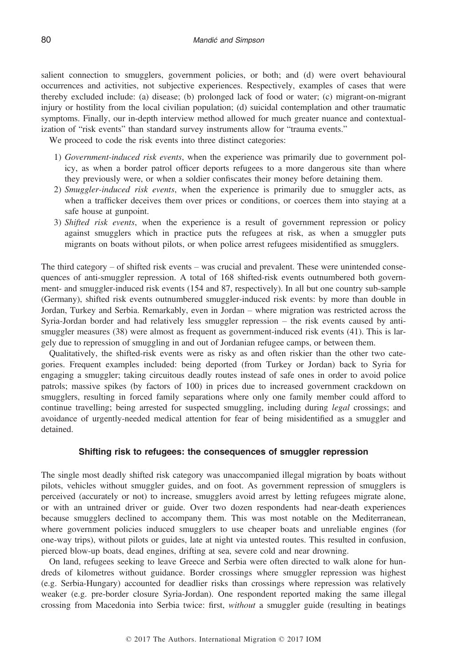salient connection to smugglers, government policies, or both; and (d) were overt behavioural occurrences and activities, not subjective experiences. Respectively, examples of cases that were thereby excluded include: (a) disease; (b) prolonged lack of food or water; (c) migrant-on-migrant injury or hostility from the local civilian population; (d) suicidal contemplation and other traumatic symptoms. Finally, our in-depth interview method allowed for much greater nuance and contextualization of "risk events" than standard survey instruments allow for "trauma events."

We proceed to code the risk events into three distinct categories:

- 1) Government-induced risk events, when the experience was primarily due to government policy, as when a border patrol officer deports refugees to a more dangerous site than where they previously were, or when a soldier confiscates their money before detaining them.
- 2) Smuggler-induced risk events, when the experience is primarily due to smuggler acts, as when a trafficker deceives them over prices or conditions, or coerces them into staying at a safe house at gunpoint.
- 3) Shifted risk events, when the experience is a result of government repression or policy against smugglers which in practice puts the refugees at risk, as when a smuggler puts migrants on boats without pilots, or when police arrest refugees misidentified as smugglers.

The third category – of shifted risk events – was crucial and prevalent. These were unintended consequences of anti-smuggler repression. A total of 168 shifted-risk events outnumbered both government- and smuggler-induced risk events (154 and 87, respectively). In all but one country sub-sample (Germany), shifted risk events outnumbered smuggler-induced risk events: by more than double in Jordan, Turkey and Serbia. Remarkably, even in Jordan – where migration was restricted across the Syria-Jordan border and had relatively less smuggler repression – the risk events caused by antismuggler measures (38) were almost as frequent as government-induced risk events (41). This is largely due to repression of smuggling in and out of Jordanian refugee camps, or between them.

Qualitatively, the shifted-risk events were as risky as and often riskier than the other two categories. Frequent examples included: being deported (from Turkey or Jordan) back to Syria for engaging a smuggler; taking circuitous deadly routes instead of safe ones in order to avoid police patrols; massive spikes (by factors of 100) in prices due to increased government crackdown on smugglers, resulting in forced family separations where only one family member could afford to continue travelling; being arrested for suspected smuggling, including during legal crossings; and avoidance of urgently-needed medical attention for fear of being misidentified as a smuggler and detained.

## Shifting risk to refugees: the consequences of smuggler repression

The single most deadly shifted risk category was unaccompanied illegal migration by boats without pilots, vehicles without smuggler guides, and on foot. As government repression of smugglers is perceived (accurately or not) to increase, smugglers avoid arrest by letting refugees migrate alone, or with an untrained driver or guide. Over two dozen respondents had near-death experiences because smugglers declined to accompany them. This was most notable on the Mediterranean, where government policies induced smugglers to use cheaper boats and unreliable engines (for one-way trips), without pilots or guides, late at night via untested routes. This resulted in confusion, pierced blow-up boats, dead engines, drifting at sea, severe cold and near drowning.

On land, refugees seeking to leave Greece and Serbia were often directed to walk alone for hundreds of kilometres without guidance. Border crossings where smuggler repression was highest (e.g. Serbia-Hungary) accounted for deadlier risks than crossings where repression was relatively weaker (e.g. pre-border closure Syria-Jordan). One respondent reported making the same illegal crossing from Macedonia into Serbia twice: first, without a smuggler guide (resulting in beatings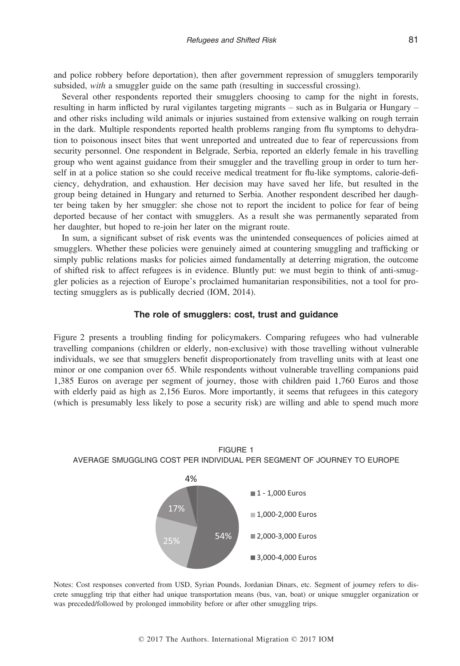and police robbery before deportation), then after government repression of smugglers temporarily subsided, with a smuggler guide on the same path (resulting in successful crossing).

Several other respondents reported their smugglers choosing to camp for the night in forests, resulting in harm inflicted by rural vigilantes targeting migrants – such as in Bulgaria or Hungary – and other risks including wild animals or injuries sustained from extensive walking on rough terrain in the dark. Multiple respondents reported health problems ranging from flu symptoms to dehydration to poisonous insect bites that went unreported and untreated due to fear of repercussions from security personnel. One respondent in Belgrade, Serbia, reported an elderly female in his travelling group who went against guidance from their smuggler and the travelling group in order to turn herself in at a police station so she could receive medical treatment for flu-like symptoms, calorie-deficiency, dehydration, and exhaustion. Her decision may have saved her life, but resulted in the group being detained in Hungary and returned to Serbia. Another respondent described her daughter being taken by her smuggler: she chose not to report the incident to police for fear of being deported because of her contact with smugglers. As a result she was permanently separated from her daughter, but hoped to re-join her later on the migrant route.

In sum, a significant subset of risk events was the unintended consequences of policies aimed at smugglers. Whether these policies were genuinely aimed at countering smuggling and trafficking or simply public relations masks for policies aimed fundamentally at deterring migration, the outcome of shifted risk to affect refugees is in evidence. Bluntly put: we must begin to think of anti-smuggler policies as a rejection of Europe's proclaimed humanitarian responsibilities, not a tool for protecting smugglers as is publically decried (IOM, 2014).

# The role of smugglers: cost, trust and guidance

Figure 2 presents a troubling finding for policymakers. Comparing refugees who had vulnerable travelling companions (children or elderly, non-exclusive) with those travelling without vulnerable individuals, we see that smugglers benefit disproportionately from travelling units with at least one minor or one companion over 65. While respondents without vulnerable travelling companions paid 1,385 Euros on average per segment of journey, those with children paid 1,760 Euros and those with elderly paid as high as  $2,156$  Euros. More importantly, it seems that refugees in this category (which is presumably less likely to pose a security risk) are willing and able to spend much more





Notes: Cost responses converted from USD, Syrian Pounds, Jordanian Dinars, etc. Segment of journey refers to discrete smuggling trip that either had unique transportation means (bus, van, boat) or unique smuggler organization or was preceded/followed by prolonged immobility before or after other smuggling trips.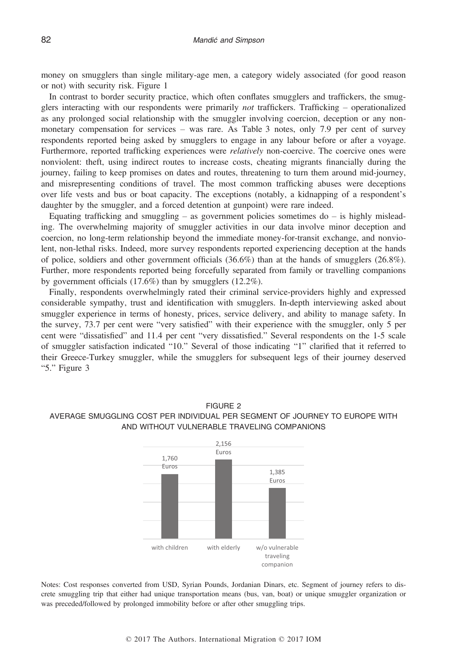money on smugglers than single military-age men, a category widely associated (for good reason or not) with security risk. Figure 1

In contrast to border security practice, which often conflates smugglers and traffickers, the smugglers interacting with our respondents were primarily not traffickers. Trafficking – operationalized as any prolonged social relationship with the smuggler involving coercion, deception or any nonmonetary compensation for services – was rare. As Table 3 notes, only 7.9 per cent of survey respondents reported being asked by smugglers to engage in any labour before or after a voyage. Furthermore, reported trafficking experiences were *relatively* non-coercive. The coercive ones were nonviolent: theft, using indirect routes to increase costs, cheating migrants financially during the journey, failing to keep promises on dates and routes, threatening to turn them around mid-journey, and misrepresenting conditions of travel. The most common trafficking abuses were deceptions over life vests and bus or boat capacity. The exceptions (notably, a kidnapping of a respondent's daughter by the smuggler, and a forced detention at gunpoint) were rare indeed.

Equating trafficking and smuggling – as government policies sometimes do – is highly misleading. The overwhelming majority of smuggler activities in our data involve minor deception and coercion, no long-term relationship beyond the immediate money-for-transit exchange, and nonviolent, non-lethal risks. Indeed, more survey respondents reported experiencing deception at the hands of police, soldiers and other government officials (36.6%) than at the hands of smugglers (26.8%). Further, more respondents reported being forcefully separated from family or travelling companions by government officials (17.6%) than by smugglers (12.2%).

Finally, respondents overwhelmingly rated their criminal service-providers highly and expressed considerable sympathy, trust and identification with smugglers. In-depth interviewing asked about smuggler experience in terms of honesty, prices, service delivery, and ability to manage safety. In the survey, 73.7 per cent were "very satisfied" with their experience with the smuggler, only 5 per cent were "dissatisfied" and 11.4 per cent "very dissatisfied." Several respondents on the 1-5 scale of smuggler satisfaction indicated "10." Several of those indicating "1" clarified that it referred to their Greece-Turkey smuggler, while the smugglers for subsequent legs of their journey deserved "5." Figure 3



# FIGURE 2 AVERAGE SMUGGLING COST PER INDIVIDUAL PER SEGMENT OF JOURNEY TO EUROPE WITH AND WITHOUT VULNERABLE TRAVELING COMPANIONS

Notes: Cost responses converted from USD, Syrian Pounds, Jordanian Dinars, etc. Segment of journey refers to discrete smuggling trip that either had unique transportation means (bus, van, boat) or unique smuggler organization or was preceded/followed by prolonged immobility before or after other smuggling trips.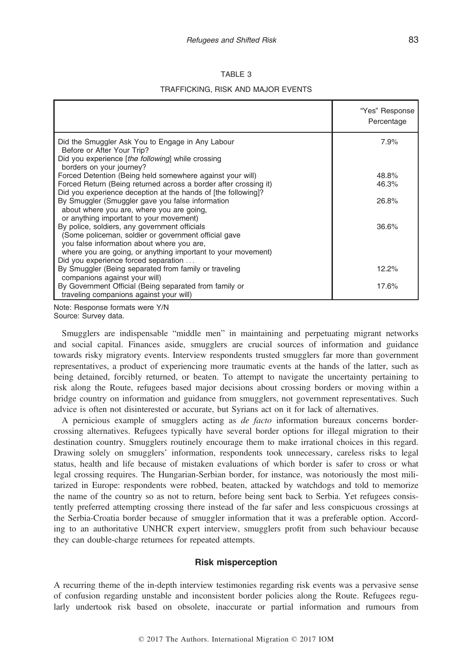## TABLE 3

## TRAFFICKING, RISK AND MAJOR EVENTS

|                                                                                 | "Yes" Response<br>Percentage |
|---------------------------------------------------------------------------------|------------------------------|
| Did the Smuggler Ask You to Engage in Any Labour                                | 7.9%                         |
| Before or After Your Trip?<br>Did you experience [the following] while crossing |                              |
| borders on your journey?                                                        |                              |
| Forced Detention (Being held somewhere against your will)                       | 48.8%                        |
| Forced Return (Being returned across a border after crossing it)                | 46.3%                        |
| Did you experience deception at the hands of [the following]?                   |                              |
| By Smuggler (Smuggler gave you false information                                | 26.8%                        |
| about where you are, where you are going,                                       |                              |
| or anything important to your movement)                                         |                              |
| By police, soldiers, any government officials                                   | 36.6%                        |
| (Some policeman, soldier or government official gave                            |                              |
| you false information about where you are,                                      |                              |
| where you are going, or anything important to your movement)                    |                              |
| Did you experience forced separation                                            |                              |
| By Smuggler (Being separated from family or traveling                           | 12.2%                        |
| companions against your will)                                                   |                              |
| By Government Official (Being separated from family or                          | 17.6%                        |
| traveling companions against your will)                                         |                              |

Note: Response formats were Y/N Source: Survey data.

Smugglers are indispensable "middle men" in maintaining and perpetuating migrant networks and social capital. Finances aside, smugglers are crucial sources of information and guidance towards risky migratory events. Interview respondents trusted smugglers far more than government representatives, a product of experiencing more traumatic events at the hands of the latter, such as being detained, forcibly returned, or beaten. To attempt to navigate the uncertainty pertaining to risk along the Route, refugees based major decisions about crossing borders or moving within a bridge country on information and guidance from smugglers, not government representatives. Such advice is often not disinterested or accurate, but Syrians act on it for lack of alternatives.

A pernicious example of smugglers acting as de facto information bureaux concerns bordercrossing alternatives. Refugees typically have several border options for illegal migration to their destination country. Smugglers routinely encourage them to make irrational choices in this regard. Drawing solely on smugglers' information, respondents took unnecessary, careless risks to legal status, health and life because of mistaken evaluations of which border is safer to cross or what legal crossing requires. The Hungarian-Serbian border, for instance, was notoriously the most militarized in Europe: respondents were robbed, beaten, attacked by watchdogs and told to memorize the name of the country so as not to return, before being sent back to Serbia. Yet refugees consistently preferred attempting crossing there instead of the far safer and less conspicuous crossings at the Serbia-Croatia border because of smuggler information that it was a preferable option. According to an authoritative UNHCR expert interview, smugglers profit from such behaviour because they can double-charge returnees for repeated attempts.

## Risk misperception

A recurring theme of the in-depth interview testimonies regarding risk events was a pervasive sense of confusion regarding unstable and inconsistent border policies along the Route. Refugees regularly undertook risk based on obsolete, inaccurate or partial information and rumours from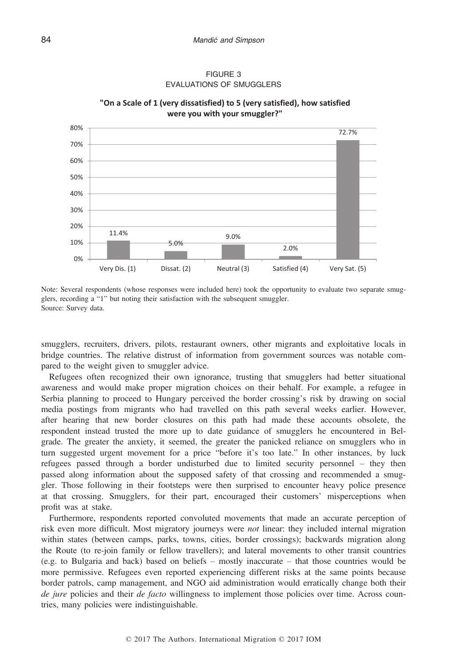



**"On a Scale of 1 (very dissatisfied) to 5 (very satisfied), how satisfied were you with your smuggler?"**

Note: Several respondents (whose responses were included here) took the opportunity to evaluate two separate smugglers, recording a "1" but noting their satisfaction with the subsequent smuggler. Source: Survey data.

smugglers, recruiters, drivers, pilots, restaurant owners, other migrants and exploitative locals in bridge countries. The relative distrust of information from government sources was notable compared to the weight given to smuggler advice.

Refugees often recognized their own ignorance, trusting that smugglers had better situational awareness and would make proper migration choices on their behalf. For example, a refugee in Serbia planning to proceed to Hungary perceived the border crossing's risk by drawing on social media postings from migrants who had travelled on this path several weeks earlier. However, after hearing that new border closures on this path had made these accounts obsolete, the respondent instead trusted the more up to date guidance of smugglers he encountered in Belgrade. The greater the anxiety, it seemed, the greater the panicked reliance on smugglers who in turn suggested urgent movement for a price "before it's too late." In other instances, by luck refugees passed through a border undisturbed due to limited security personnel – they then passed along information about the supposed safety of that crossing and recommended a smuggler. Those following in their footsteps were then surprised to encounter heavy police presence at that crossing. Smugglers, for their part, encouraged their customers' misperceptions when profit was at stake.

Furthermore, respondents reported convoluted movements that made an accurate perception of risk even more difficult. Most migratory journeys were not linear: they included internal migration within states (between camps, parks, towns, cities, border crossings); backwards migration along the Route (to re-join family or fellow travellers); and lateral movements to other transit countries (e.g. to Bulgaria and back) based on beliefs – mostly inaccurate – that those countries would be more permissive. Refugees even reported experiencing different risks at the same points because border patrols, camp management, and NGO aid administration would erratically change both their de jure policies and their *de facto* willingness to implement those policies over time. Across countries, many policies were indistinguishable.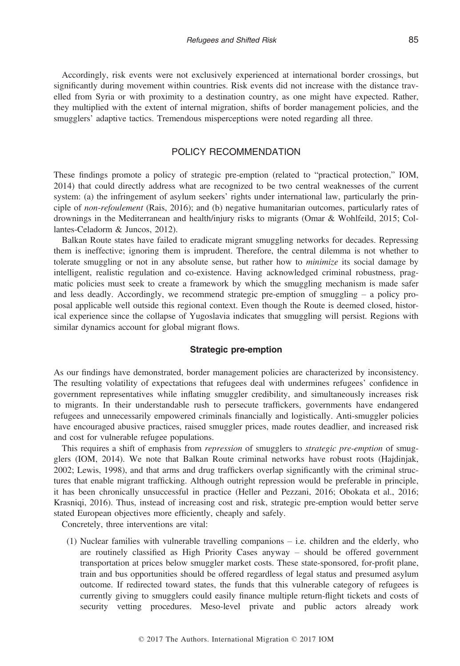Accordingly, risk events were not exclusively experienced at international border crossings, but significantly during movement within countries. Risk events did not increase with the distance travelled from Syria or with proximity to a destination country, as one might have expected. Rather, they multiplied with the extent of internal migration, shifts of border management policies, and the smugglers' adaptive tactics. Tremendous misperceptions were noted regarding all three.

## POLICY RECOMMENDATION

These findings promote a policy of strategic pre-emption (related to "practical protection," IOM, 2014) that could directly address what are recognized to be two central weaknesses of the current system: (a) the infringement of asylum seekers' rights under international law, particularly the principle of non-refoulement (Rais, 2016); and (b) negative humanitarian outcomes, particularly rates of drownings in the Mediterranean and health/injury risks to migrants (Omar & Wohlfeild, 2015; Collantes-Celadorm & Juncos, 2012).

Balkan Route states have failed to eradicate migrant smuggling networks for decades. Repressing them is ineffective; ignoring them is imprudent. Therefore, the central dilemma is not whether to tolerate smuggling or not in any absolute sense, but rather how to *minimize* its social damage by intelligent, realistic regulation and co-existence. Having acknowledged criminal robustness, pragmatic policies must seek to create a framework by which the smuggling mechanism is made safer and less deadly. Accordingly, we recommend strategic pre-emption of smuggling – a policy proposal applicable well outside this regional context. Even though the Route is deemed closed, historical experience since the collapse of Yugoslavia indicates that smuggling will persist. Regions with similar dynamics account for global migrant flows.

#### Strategic pre-emption

As our findings have demonstrated, border management policies are characterized by inconsistency. The resulting volatility of expectations that refugees deal with undermines refugees' confidence in government representatives while inflating smuggler credibility, and simultaneously increases risk to migrants. In their understandable rush to persecute traffickers, governments have endangered refugees and unnecessarily empowered criminals financially and logistically. Anti-smuggler policies have encouraged abusive practices, raised smuggler prices, made routes deadlier, and increased risk and cost for vulnerable refugee populations.

This requires a shift of emphasis from *repression* of smugglers to *strategic pre-emption* of smugglers (IOM, 2014). We note that Balkan Route criminal networks have robust roots (Hajdinjak, 2002; Lewis, 1998), and that arms and drug traffickers overlap significantly with the criminal structures that enable migrant trafficking. Although outright repression would be preferable in principle, it has been chronically unsuccessful in practice (Heller and Pezzani, 2016; Obokata et al., 2016; Krasniqi, 2016). Thus, instead of increasing cost and risk, strategic pre-emption would better serve stated European objectives more efficiently, cheaply and safely.

Concretely, three interventions are vital:

(1) Nuclear families with vulnerable travelling companions – i.e. children and the elderly, who are routinely classified as High Priority Cases anyway – should be offered government transportation at prices below smuggler market costs. These state-sponsored, for-profit plane, train and bus opportunities should be offered regardless of legal status and presumed asylum outcome. If redirected toward states, the funds that this vulnerable category of refugees is currently giving to smugglers could easily finance multiple return-flight tickets and costs of security vetting procedures. Meso-level private and public actors already work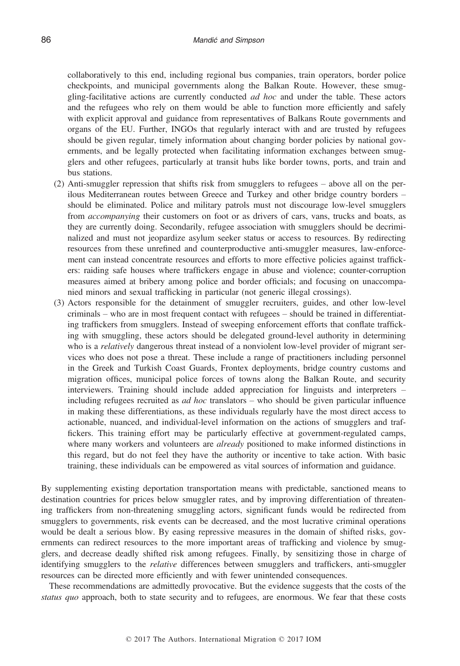collaboratively to this end, including regional bus companies, train operators, border police checkpoints, and municipal governments along the Balkan Route. However, these smuggling-facilitative actions are currently conducted ad hoc and under the table. These actors and the refugees who rely on them would be able to function more efficiently and safely with explicit approval and guidance from representatives of Balkans Route governments and organs of the EU. Further, INGOs that regularly interact with and are trusted by refugees should be given regular, timely information about changing border policies by national governments, and be legally protected when facilitating information exchanges between smugglers and other refugees, particularly at transit hubs like border towns, ports, and train and bus stations.

- (2) Anti-smuggler repression that shifts risk from smugglers to refugees above all on the perilous Mediterranean routes between Greece and Turkey and other bridge country borders – should be eliminated. Police and military patrols must not discourage low-level smugglers from accompanying their customers on foot or as drivers of cars, vans, trucks and boats, as they are currently doing. Secondarily, refugee association with smugglers should be decriminalized and must not jeopardize asylum seeker status or access to resources. By redirecting resources from these unrefined and counterproductive anti-smuggler measures, law-enforcement can instead concentrate resources and efforts to more effective policies against traffickers: raiding safe houses where traffickers engage in abuse and violence; counter-corruption measures aimed at bribery among police and border officials; and focusing on unaccompanied minors and sexual trafficking in particular (not generic illegal crossings).
- (3) Actors responsible for the detainment of smuggler recruiters, guides, and other low-level criminals – who are in most frequent contact with refugees – should be trained in differentiating traffickers from smugglers. Instead of sweeping enforcement efforts that conflate trafficking with smuggling, these actors should be delegated ground-level authority in determining who is a *relatively* dangerous threat instead of a nonviolent low-level provider of migrant services who does not pose a threat. These include a range of practitioners including personnel in the Greek and Turkish Coast Guards, Frontex deployments, bridge country customs and migration offices, municipal police forces of towns along the Balkan Route, and security interviewers. Training should include added appreciation for linguists and interpreters – including refugees recruited as *ad hoc* translators – who should be given particular influence in making these differentiations, as these individuals regularly have the most direct access to actionable, nuanced, and individual-level information on the actions of smugglers and traffickers. This training effort may be particularly effective at government-regulated camps, where many workers and volunteers are *already* positioned to make informed distinctions in this regard, but do not feel they have the authority or incentive to take action. With basic training, these individuals can be empowered as vital sources of information and guidance.

By supplementing existing deportation transportation means with predictable, sanctioned means to destination countries for prices below smuggler rates, and by improving differentiation of threatening traffickers from non-threatening smuggling actors, significant funds would be redirected from smugglers to governments, risk events can be decreased, and the most lucrative criminal operations would be dealt a serious blow. By easing repressive measures in the domain of shifted risks, governments can redirect resources to the more important areas of trafficking and violence by smugglers, and decrease deadly shifted risk among refugees. Finally, by sensitizing those in charge of identifying smugglers to the *relative* differences between smugglers and traffickers, anti-smuggler resources can be directed more efficiently and with fewer unintended consequences.

These recommendations are admittedly provocative. But the evidence suggests that the costs of the status quo approach, both to state security and to refugees, are enormous. We fear that these costs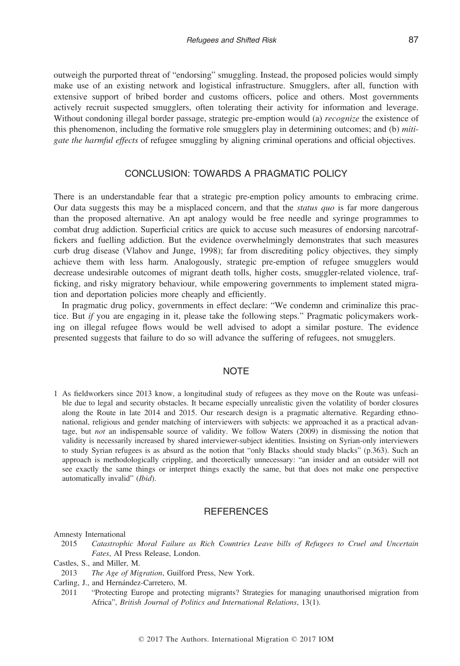outweigh the purported threat of "endorsing" smuggling. Instead, the proposed policies would simply make use of an existing network and logistical infrastructure. Smugglers, after all, function with extensive support of bribed border and customs officers, police and others. Most governments actively recruit suspected smugglers, often tolerating their activity for information and leverage. Without condoning illegal border passage, strategic pre-emption would (a) *recognize* the existence of this phenomenon, including the formative role smugglers play in determining outcomes; and (b) mitigate the harmful effects of refugee smuggling by aligning criminal operations and official objectives.

# CONCLUSION: TOWARDS A PRAGMATIC POLICY

There is an understandable fear that a strategic pre-emption policy amounts to embracing crime. Our data suggests this may be a misplaced concern, and that the *status quo* is far more dangerous than the proposed alternative. An apt analogy would be free needle and syringe programmes to combat drug addiction. Superficial critics are quick to accuse such measures of endorsing narcotraffickers and fuelling addiction. But the evidence overwhelmingly demonstrates that such measures curb drug disease (Vlahov and Junge, 1998); far from discrediting policy objectives, they simply achieve them with less harm. Analogously, strategic pre-emption of refugee smugglers would decrease undesirable outcomes of migrant death tolls, higher costs, smuggler-related violence, trafficking, and risky migratory behaviour, while empowering governments to implement stated migration and deportation policies more cheaply and efficiently.

In pragmatic drug policy, governments in effect declare: "We condemn and criminalize this practice. But if you are engaging in it, please take the following steps." Pragmatic policymakers working on illegal refugee flows would be well advised to adopt a similar posture. The evidence presented suggests that failure to do so will advance the suffering of refugees, not smugglers.

## **NOTE**

1 As fieldworkers since 2013 know, a longitudinal study of refugees as they move on the Route was unfeasible due to legal and security obstacles. It became especially unrealistic given the volatility of border closures along the Route in late 2014 and 2015. Our research design is a pragmatic alternative. Regarding ethnonational, religious and gender matching of interviewers with subjects: we approached it as a practical advantage, but not an indispensable source of validity. We follow Waters (2009) in dismissing the notion that validity is necessarily increased by shared interviewer-subject identities. Insisting on Syrian-only interviewers to study Syrian refugees is as absurd as the notion that "only Blacks should study blacks" (p.363). Such an approach is methodologically crippling, and theoretically unnecessary: "an insider and an outsider will not see exactly the same things or interpret things exactly the same, but that does not make one perspective automatically invalid" (Ibid).

# **REFERENCES**

#### Amnesty International

2015 Catastrophic Moral Failure as Rich Countries Leave bills of Refugees to Cruel and Uncertain Fates, AI Press Release, London.

- 2013 The Age of Migration, Guilford Press, New York.
- Carling, J., and Hernández-Carretero, M.
- 2011 "Protecting Europe and protecting migrants? Strategies for managing unauthorised migration from Africa", British Journal of Politics and International Relations, 13(1).

Castles, S., and Miller, M.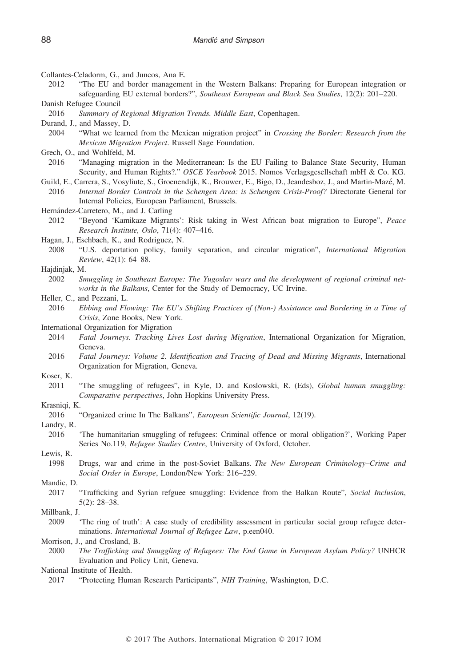- Collantes-Celadorm, G., and Juncos, Ana E.
- 2012 "The EU and border management in the Western Balkans: Preparing for European integration or safeguarding EU external borders?", Southeast European and Black Sea Studies, 12(2): 201–220.
- Danish Refugee Council
- 2016 Summary of Regional Migration Trends. Middle East, Copenhagen.
- Durand, J., and Massey, D.
- 2004 "What we learned from the Mexican migration project" in Crossing the Border: Research from the Mexican Migration Project. Russell Sage Foundation.
- Grech, O., and Wohlfeld, M.
- 2016 "Managing migration in the Mediterranean: Is the EU Failing to Balance State Security, Human Security, and Human Rights?." OSCE Yearbook 2015. Nomos Verlagsgesellschaft mbH & Co. KG.
- Guild, E., Carrera, S., Vosyliute, S., Groenendijk, K., Brouwer, E., Bigo, D., Jeandesboz, J., and Martin-Maze, M. 2016 Internal Border Controls in the Schengen Area: is Schengen Crisis-Proof? Directorate General for Internal Policies, European Parliament, Brussels.
- Hernández-Carretero, M., and J. Carling
- 2012 "Beyond 'Kamikaze Migrants': Risk taking in West African boat migration to Europe", Peace Research Institute, Oslo, 71(4): 407–416.
- Hagan, J., Eschbach, K., and Rodriguez, N.
- 2008 "U.S. deportation policy, family separation, and circular migration", International Migration Review, 42(1): 64–88.
- Hajdinjak, M.
	- 2002 Smuggling in Southeast Europe: The Yugoslav wars and the development of regional criminal networks in the Balkans, Center for the Study of Democracy, UC Irvine.
- Heller, C., and Pezzani, L.
	- 2016 Ebbing and Flowing: The EU's Shifting Practices of (Non-) Assistance and Bordering in a Time of Crisis, Zone Books, New York.

International Organization for Migration

- 2014 Fatal Journeys. Tracking Lives Lost during Migration, International Organization for Migration, Geneva.
- 2016 Fatal Journeys: Volume 2. Identification and Tracing of Dead and Missing Migrants, International Organization for Migration, Geneva.
- Koser, K.
	- 2011 "The smuggling of refugees", in Kyle, D. and Koslowski, R. (Eds), Global human smuggling: Comparative perspectives, John Hopkins University Press.

#### Krasniqi, K.

2016 "Organized crime In The Balkans", European Scientific Journal, 12(19).

Landry, R.

2016 'The humanitarian smuggling of refugees: Criminal offence or moral obligation?', Working Paper Series No.119, Refugee Studies Centre, University of Oxford, October.

Lewis, R.

1998 Drugs, war and crime in the post-Soviet Balkans. The New European Criminology–Crime and Social Order in Europe, London/New York: 216–229.

Mandic, D.

- 2017 "Trafficking and Syrian refguee smuggling: Evidence from the Balkan Route", Social Inclusion, 5(2): 28–38.
- Millbank, J.
	- 2009 'The ring of truth': A case study of credibility assessment in particular social group refugee determinations. International Journal of Refugee Law, p.een040.

#### Morrison, J., and Crosland, B.

2000 The Trafficking and Smuggling of Refugees: The End Game in European Asylum Policy? UNHCR Evaluation and Policy Unit, Geneva.

National Institute of Health.

2017 "Protecting Human Research Participants", NIH Training, Washington, D.C.